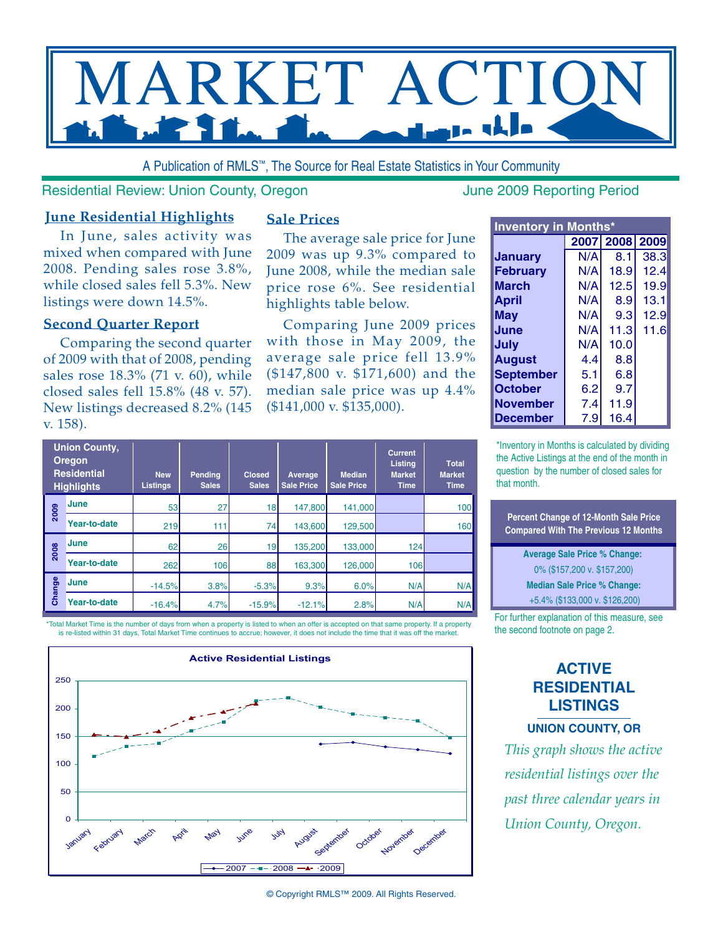

A Publication of RMLS™, The Source for Real Estate Statistics in Your Community

#### Residential Review: Union County, Oregon June 2009 Reporting Period

## **June Residential Highlights**

In June, sales activity was mixed when compared with June 2008. Pending sales rose 3.8%, while closed sales fell 5.3%. New listings were down 14.5%.

### **Second Quarter Report**

Comparing the second quarter of 2009 with that of 2008, pending sales rose 18.3% (71 v. 60), while closed sales fell 15.8% (48 v. 57). New listings decreased 8.2% (145 v. 158).

#### **Sale Prices**

The average sale price for June 2009 was up 9.3% compared to June 2008, while the median sale price rose 6%. See residential highlights table below.

Comparing June 2009 prices with those in May 2009, the average sale price fell 13.9% (\$147,800 v. \$171,600) and the median sale price was up 4.4% (\$141,000 v. \$135,000).

| <b>Inventory in Months*</b> |     |                |      |  |  |  |  |  |  |  |  |
|-----------------------------|-----|----------------|------|--|--|--|--|--|--|--|--|
|                             |     | 2007 2008 2009 |      |  |  |  |  |  |  |  |  |
| Januarv                     | N/A | 8.1            | 38.3 |  |  |  |  |  |  |  |  |
| <b>February</b>             | N/A | 18.9           | 12.4 |  |  |  |  |  |  |  |  |
| <b>March</b>                | N/A | 12.5           | 19.9 |  |  |  |  |  |  |  |  |
| <b>April</b>                | N/A | 8.9            | 13.1 |  |  |  |  |  |  |  |  |
| May                         | N/A | 9.3            | 12.9 |  |  |  |  |  |  |  |  |
| June                        | N/A | 11.3           | 11.6 |  |  |  |  |  |  |  |  |
| July                        | N/A | 10.0           |      |  |  |  |  |  |  |  |  |
| <b>August</b>               | 4.4 | 8.8            |      |  |  |  |  |  |  |  |  |
| <b>September</b>            | 5.1 | 6.8            |      |  |  |  |  |  |  |  |  |
| <b>October</b>              | 6.2 | 9.7            |      |  |  |  |  |  |  |  |  |
| <b>November</b>             | 7.4 | 11.9           |      |  |  |  |  |  |  |  |  |
| <b>December</b>             | 7.9 | 16.4           |      |  |  |  |  |  |  |  |  |

\*Inventory in Months is calculated by dividing the Active Listings at the end of the month in question by the number of closed sales for that month.

**Percent Change of 12-Month Sale Price Compared With The Previous 12 Months**

**Average Sale Price % Change:**  0% (\$157,200 v. \$157,200) **Median Sale Price % Change:** +5.4% (\$133,000 v. \$126,200)

For further explanation of this measure, see the second footnote on page 2.

# **ACTIVE RESIDENTIAL LISTINGS**

**Union County, OR**

*This graph shows the active residential listings over the past three calendar years in Union County, Oregon.*

| <b>Union County,</b><br><b>Oregon</b><br><b>Residential</b><br><b>Highlights</b> |              | <b>New</b><br><b>Listings</b> | <b>Pending</b><br><b>Sales</b> | Closed<br><b>Sales</b> | Average<br><b>Sale Price</b> | <b>Median</b><br><b>Sale Price</b> | <b>Current</b><br><b>Listing</b><br><b>Market</b><br><b>Time</b> | <b>Total</b><br><b>Market</b><br><b>Time</b> |  |
|----------------------------------------------------------------------------------|--------------|-------------------------------|--------------------------------|------------------------|------------------------------|------------------------------------|------------------------------------------------------------------|----------------------------------------------|--|
| 2009                                                                             | <b>June</b>  | 53                            | 27                             | 18                     | 147,800                      | 141,000                            |                                                                  | 100                                          |  |
|                                                                                  | Year-to-date | 219                           | 111                            | 74                     | 143,600                      | 129,500                            |                                                                  | 160                                          |  |
| 2008                                                                             | <b>June</b>  | 62                            | <b>26</b>                      | 19                     | 135,200                      | 133,000                            | 124                                                              |                                              |  |
|                                                                                  | Year-to-date | 262                           | 106                            | 88                     | 163,300                      | 126,000                            | 106                                                              |                                              |  |
| Change                                                                           | June         | $-14.5%$                      | 3.8%                           | $-5.3%$                | 9.3%                         | 6.0%                               | N/A                                                              | N/A                                          |  |
|                                                                                  | Year-to-date | $-16.4%$                      | 4.7%                           | $-15.9%$               | $-12.1%$                     | 2.8%                               | N/A                                                              | N/A                                          |  |

\*Total Market Time is the number of days from when a property is listed to when an offer is accepted on that same property. If a property is re-listed within 31 days, Total Market Time continues to accrue; however, it does not include the time that it was off the market.



<sup>©</sup> Copyright RMLS™ 2009. All Rights Reserved.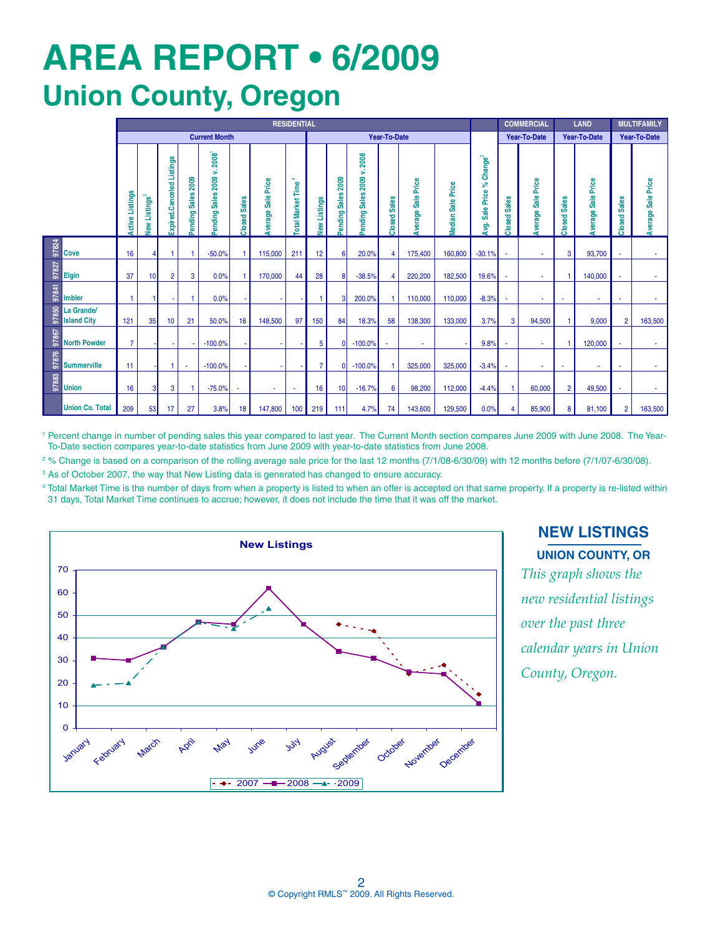# **AREa REPORT • 6/2009 Union County, Oregon**

|       |                                  | <b>RESIDENTIAL</b>     |                        |                           |                                 |                                                            |                         |                        |                               |                               |                       |                            |                         |                       |                         |                                              | <b>COMMERCIAL</b>       | <b>LAND</b>              |                | <b>MULTIFAMILY</b>        |                         |                    |
|-------|----------------------------------|------------------------|------------------------|---------------------------|---------------------------------|------------------------------------------------------------|-------------------------|------------------------|-------------------------------|-------------------------------|-----------------------|----------------------------|-------------------------|-----------------------|-------------------------|----------------------------------------------|-------------------------|--------------------------|----------------|---------------------------|-------------------------|--------------------|
|       |                                  | <b>Current Month</b>   |                        |                           |                                 |                                                            |                         |                        |                               | Year-To-Date                  |                       |                            |                         |                       |                         |                                              | <b>Year-To-Date</b>     |                          | Year-To-Date   |                           | Year-To-Date            |                    |
|       |                                  | <b>Active Listings</b> | <b>Listings</b><br>Vew | Expired.Canceled Listings | 2009<br><b>Sales</b><br>Pending | $\boldsymbol{2008}^\dagger$<br>s.<br>2009<br>Pending Sales | <b>Sales</b><br>Closed: | Sale Price<br>Average: | ÷<br><b>Total Market Time</b> | <b>Listings</b><br><b>New</b> | 2009<br>Pending Sales | Pending Sales 2009 v. 2008 | <b>Sales</b><br>Closed: | Sale Price<br>Average | Price<br>Sale<br>Median | Change $^{2}$<br>వి<br>Price<br>Sale<br>Avg. | <b>Sales</b><br>Closed: | Sale Price<br>Average    | Closed Sales   | <b>Average Sale Price</b> | <b>Sales</b><br>Closed: | Average Sale Price |
| 97824 | Cove                             | 16                     |                        |                           |                                 | $-50.0%$                                                   |                         | 115,000                | 211                           | 12                            | 6                     | 20.0%                      | 4                       | 175,400               | 160,800                 | $-30.1%$                                     | $\sim$                  | ×,                       | 3              | 93,700                    | $\sim$                  | ٠                  |
| 97827 | <b>Elgin</b>                     | 37                     | 10                     | 2                         | 3                               | 0.0%                                                       |                         | 170,000                | 44                            | 28                            | 8                     | $-38.5%$                   | 4                       | 220,200               | 182,500                 | 19.6%                                        |                         | ٠                        |                | 140,000                   |                         | ×.                 |
| 97841 | <b>Imbler</b>                    |                        |                        |                           |                                 | 0.0%                                                       |                         |                        |                               |                               |                       | 200.0%                     |                         | 110,000               | 110,000                 | $-8.3%$                                      |                         |                          |                | ٠                         |                         |                    |
| 97850 | La Grande/<br><b>Island City</b> | 121                    | 35                     | 10 <sup>10</sup>          | 21                              | 50.0%                                                      | 16                      | 148,500                | 97                            | 150                           | 84                    | 18.3%                      | 58                      | 138,300               | 133,000                 | 3.7%                                         | 3                       | 94,500                   |                | 9,000                     | $\overline{2}$          | 163,500            |
| 97867 | <b>North Powder</b>              | $\overline{7}$         |                        |                           |                                 | $-100.0%$                                                  |                         |                        |                               | 5                             | $\mathbf{0}$          | $-100.0%$                  |                         |                       |                         | 9.8%                                         |                         | ٠                        |                | 120,000                   |                         |                    |
| 97876 | <b>Summerville</b>               | 11                     |                        |                           | $\sim$                          | $-100.0%$                                                  |                         |                        |                               | 7                             | $\mathbf{0}$          | $-100.0%$                  |                         | 325,000               | 325,000                 | $-3.4%$                                      | $\sim$                  | $\overline{\phantom{a}}$ |                | ×,                        | ٠                       | ж.                 |
| 97883 | <b>Union</b>                     | 16                     | 3                      | 3                         |                                 | $-75.0%$                                                   |                         | ×                      |                               | 16                            | 10                    | $-16.7%$                   | 6                       | 98,200                | 112,000                 | $-4.4%$                                      |                         | 60,000                   | $\overline{2}$ | 49,500                    | ٠                       | ٠                  |
|       | <b>Union Co. Total</b>           | 209                    | 53                     | 17                        | 27                              | 3.8%                                                       | 18                      | 147,800                | 100                           | 219                           | 111                   | 4.7%                       | 74                      | 143,600               | 129,500                 | 0.0%                                         | 4                       | 85,900                   | 8              | 81,100                    | $\overline{2}$          | 163,500            |

<sup>1</sup> Percent change in number of pending sales this year compared to last year. The Current Month section compares June 2009 with June 2008. The Year-To-Date section compares year-to-date statistics from June 2009 with year-to-date statistics from June 2008.

<sup>2</sup>% Change is based on a comparison of the rolling average sale price for the last 12 months (7/1/08-6/30/09) with 12 months before (7/1/07-6/30/08).

<sup>3</sup> As of October 2007, the way that New Listing data is generated has changed to ensure accuracy.

4 Total Market Time is the number of days from when a property is listed to when an offer is accepted on that same property. If a property is re-listed within 31 days, Total Market Time continues to accrue; however, it does not include the time that it was off the market.



**NEW LISTINGS Union County, OR** *This graph shows the new residential listings over the past three calendar years in Union County, Oregon.*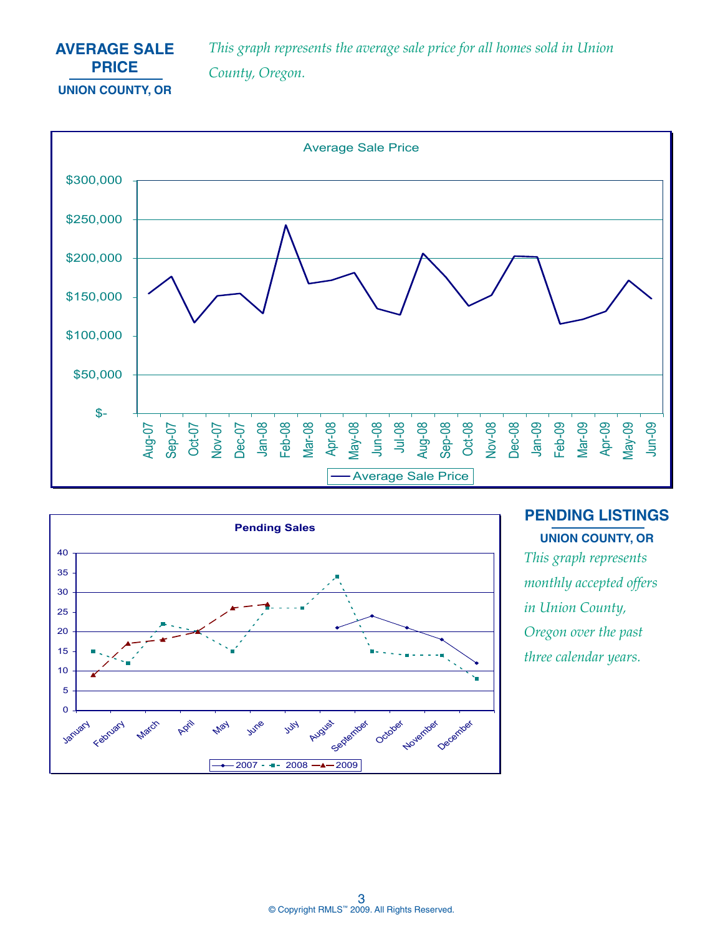# **AVERAGE SALE PRICE Union County, OR**

*This graph represents the average sale price for all homes sold in Union County, Oregon.*





**PENDING LISTINGS** 

*This graph represents monthly accepted offers in Union County, Oregon over the past three calendar years.*  **Union County, OR**